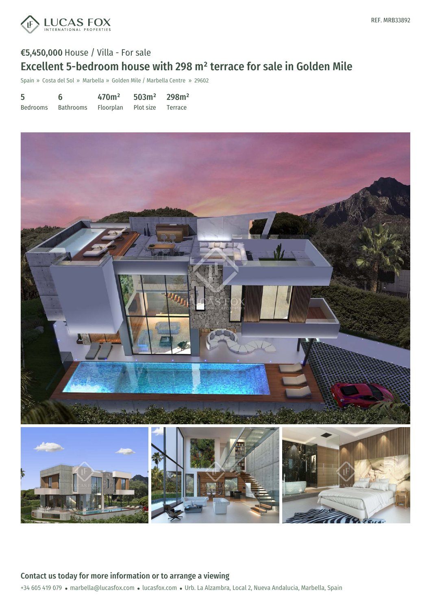

## €5,450,000 House / Villa - For sale Excellent 5-bedroom house with 298 m² terrace for sale in Golden Mile

Spain » Costa del Sol » Marbella » Golden Mile / Marbella Centre » 29602

| 5        | 6         | 470m <sup>2</sup>           | $503m^2$ 298m <sup>2</sup> |  |
|----------|-----------|-----------------------------|----------------------------|--|
| Bedrooms | Bathrooms | Floorplan Plot size Terrace |                            |  |



+34 605 419 079 · marbella@lucasfox.com · lucasfox.com · Urb. La Alzambra, Local 2, Nueva Andalucia, Marbella, Spain Contact us today for more information or to arrange a viewing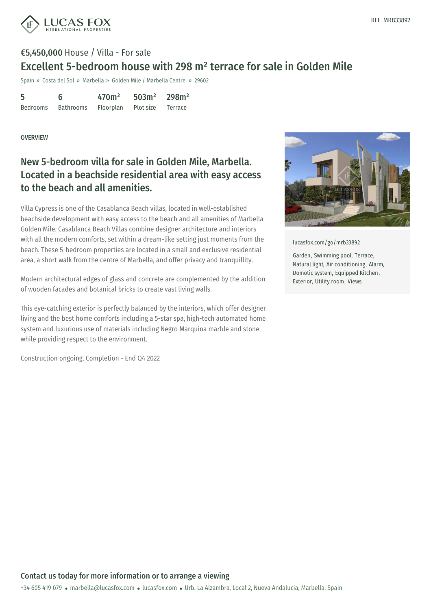

# €5,450,000 House / Villa - For sale Excellent 5-bedroom house with 298 m² terrace for sale in Golden Mile

Spain » Costa del Sol » Marbella » Golden Mile / Marbella Centre » 29602

| 5        | 6         | 470 <sup>m²</sup> | 503m <sup>2</sup> | 298m <sup>2</sup> |
|----------|-----------|-------------------|-------------------|-------------------|
| Bedrooms | Bathrooms | Floorplan         | Plot size         | Terrace           |

#### OVERVIEW

## New 5-bedroom villa for sale in Golden Mile, Marbella. Located in a beachside residential area with easy access to the beach and all amenities.

Villa Cypress is one of the Casablanca Beach villas, located in well-established beachside development with easy access to the beach and all amenities of Marbella Golden Mile. Casablanca Beach Villas combine designer architecture and interiors with all the modern comforts, set within a dream-like setting just moments from the beach. These 5-bedroom properties are located in a small and exclusive residential area, a short walk from the centre of Marbella, and offer privacy and tranquillity.

Modern architectural edges of glass and concrete are complemented by the addition of wooden facades and botanical bricks to create vast living walls.

This eye-catching exterior is perfectly balanced by the interiors, which offer designer living and the best home comforts including a 5-star spa, high-tech automated home system and luxurious use of materials including Negro Marquina marble and stone while providing respect to the environment.

Construction ongoing. Completion - End Q4 2022



[lucasfox.com/go/mrb33892](https://www.lucasfox.com/go/mrb33892)

Garden, Swimming pool, Terrace, Natural light, Air conditioning, Alarm, Domotic system, Equipped Kitchen, Exterior, Utility room, Views